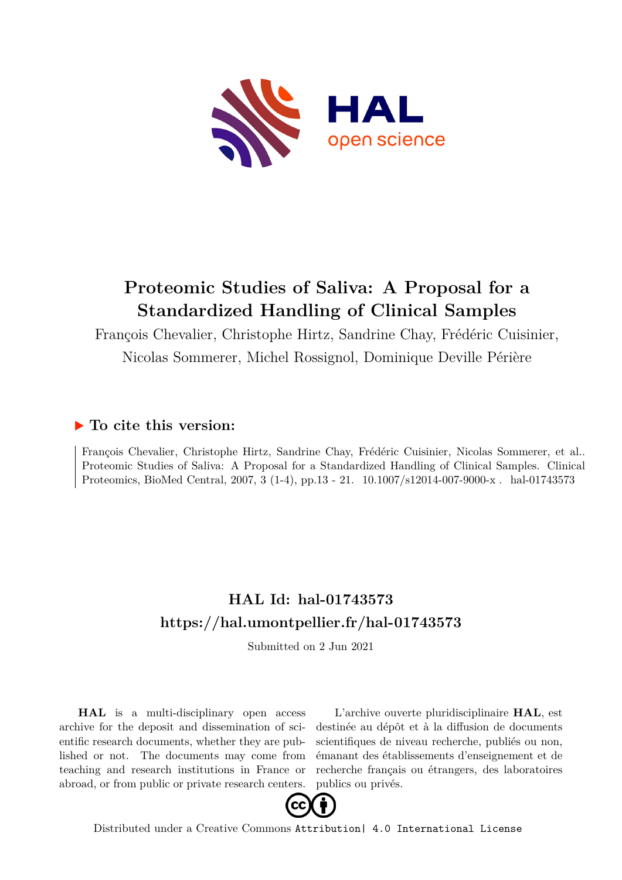

# **Proteomic Studies of Saliva: A Proposal for a Standardized Handling of Clinical Samples**

François Chevalier, Christophe Hirtz, Sandrine Chay, Frédéric Cuisinier,

Nicolas Sommerer, Michel Rossignol, Dominique Deville Périère

### **To cite this version:**

François Chevalier, Christophe Hirtz, Sandrine Chay, Frédéric Cuisinier, Nicolas Sommerer, et al.. Proteomic Studies of Saliva: A Proposal for a Standardized Handling of Clinical Samples. Clinical Proteomics, BioMed Central, 2007, 3 (1-4), pp.13 - 21.  $10.1007/\mathrm{s}12014\text{-}007\text{-}9000\text{-}x$ . hal-01743573

## **HAL Id: hal-01743573 <https://hal.umontpellier.fr/hal-01743573>**

Submitted on 2 Jun 2021

**HAL** is a multi-disciplinary open access archive for the deposit and dissemination of scientific research documents, whether they are published or not. The documents may come from teaching and research institutions in France or abroad, or from public or private research centers.

L'archive ouverte pluridisciplinaire **HAL**, est destinée au dépôt et à la diffusion de documents scientifiques de niveau recherche, publiés ou non, émanant des établissements d'enseignement et de recherche français ou étrangers, des laboratoires publics ou privés.



Distributed under a Creative Commons [Attribution| 4.0 International License](http://creativecommons.org/licenses/by/4.0/)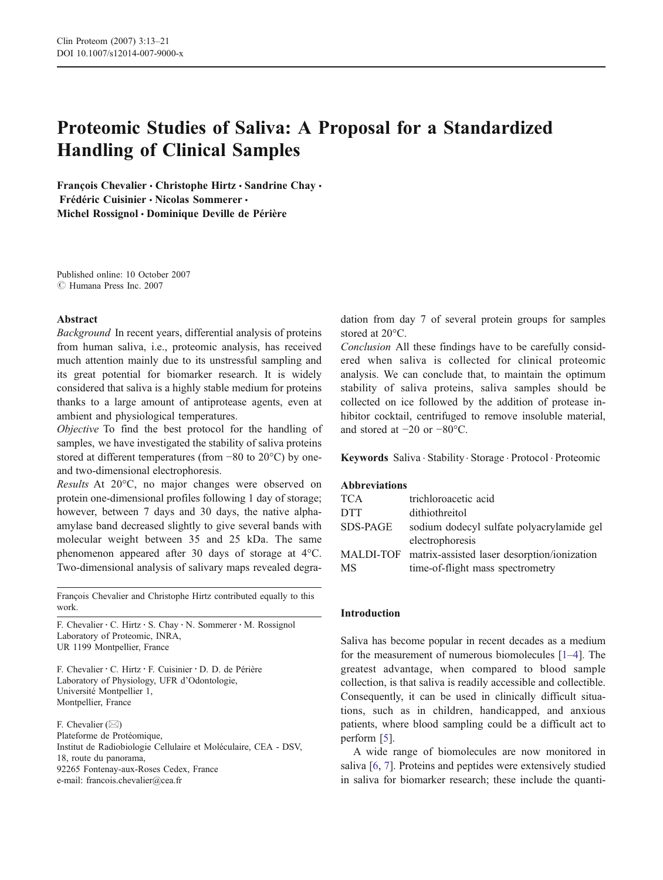### Proteomic Studies of Saliva: A Proposal for a Standardized Handling of Clinical Samples

François Chevalier • Christophe Hirtz • Sandrine Chay • Frédéric Cuisinier & Nicolas Sommerer & Michel Rossignol · Dominique Deville de Périère

Published online: 10 October 2007  $\circ$  Humana Press Inc. 2007

#### Abstract

Background In recent years, differential analysis of proteins from human saliva, i.e., proteomic analysis, has received much attention mainly due to its unstressful sampling and its great potential for biomarker research. It is widely considered that saliva is a highly stable medium for proteins thanks to a large amount of antiprotease agents, even at ambient and physiological temperatures.

Objective To find the best protocol for the handling of samples, we have investigated the stability of saliva proteins stored at different temperatures (from −80 to 20°C) by oneand two-dimensional electrophoresis.

Results At 20°C, no major changes were observed on protein one-dimensional profiles following 1 day of storage; however, between 7 days and 30 days, the native alphaamylase band decreased slightly to give several bands with molecular weight between 35 and 25 kDa. The same phenomenon appeared after 30 days of storage at 4°C. Two-dimensional analysis of salivary maps revealed degra-

François Chevalier and Christophe Hirtz contributed equally to this work.

F. Chevalier : C. Hirtz : S. Chay : N. Sommerer : M. Rossignol Laboratory of Proteomic, INRA, UR 1199 Montpellier, France

F. Chevalier : C. Hirtz : F. Cuisinier : D. D. de Périère Laboratory of Physiology, UFR d'Odontologie, Université Montpellier 1, Montpellier, France

F. Chevalier  $(\boxtimes)$ Plateforme de Protéomique, Institut de Radiobiologie Cellulaire et Moléculaire, CEA - DSV, 18, route du panorama, 92265 Fontenay-aux-Roses Cedex, France e-mail: francois.chevalier@cea.fr

dation from day 7 of several protein groups for samples stored at 20°C.

Conclusion All these findings have to be carefully considered when saliva is collected for clinical proteomic analysis. We can conclude that, to maintain the optimum stability of saliva proteins, saliva samples should be collected on ice followed by the addition of protease inhibitor cocktail, centrifuged to remove insoluble material, and stored at −20 or −80°C.

Keywords Saliva . Stability. Storage . Protocol . Proteomic

#### Abbreviations

| <b>TCA</b>      | trichloroacetic acid                                  |
|-----------------|-------------------------------------------------------|
| <b>DTT</b>      | dithiothreitol                                        |
| <b>SDS-PAGE</b> | sodium dodecyl sulfate polyacrylamide gel             |
|                 | electrophoresis                                       |
|                 | MALDI-TOF matrix-assisted laser desorption/ionization |
| MS              | time-of-flight mass spectrometry                      |

#### Introduction

Saliva has become popular in recent decades as a medium for the measurement of numerous biomolecules [1–4]. The greatest advantage, when compared to blood sample collection, is that saliva is readily accessible and collectible. Consequently, it can be used in clinically difficult situations, such as in children, handicapped, and anxious patients, where blood sampling could be a difficult act to perform [5].

A wide range of biomolecules are now monitored in saliva [6, 7]. Proteins and peptides were extensively studied in saliva for biomarker research; these include the quanti-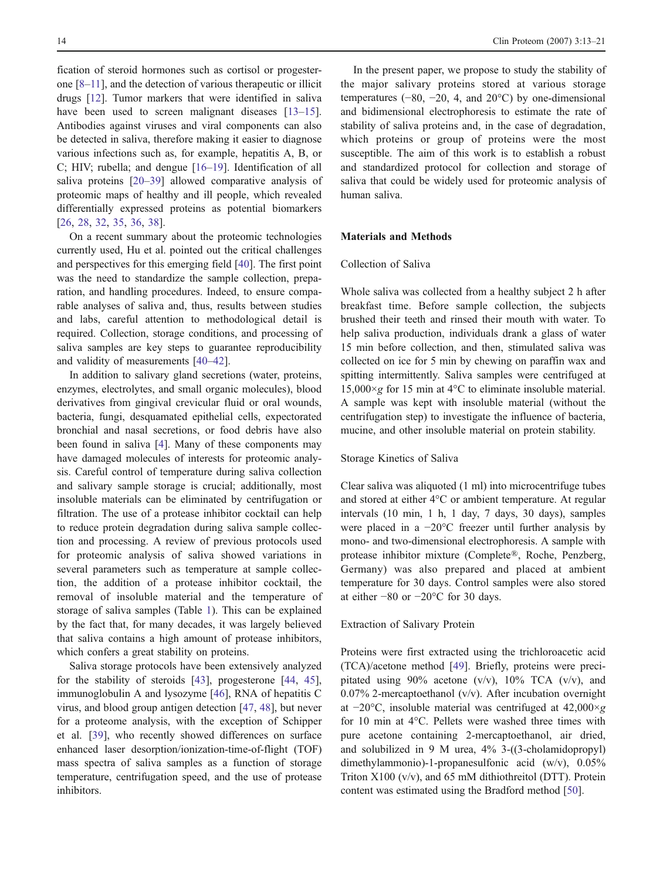fication of steroid hormones such as cortisol or progesterone [8–11], and the detection of various therapeutic or illicit drugs [12]. Tumor markers that were identified in saliva have been used to screen malignant diseases [13–15]. Antibodies against viruses and viral components can also be detected in saliva, therefore making it easier to diagnose various infections such as, for example, hepatitis A, B, or C; HIV; rubella; and dengue [16–19]. Identification of all saliva proteins [20–39] allowed comparative analysis of proteomic maps of healthy and ill people, which revealed differentially expressed proteins as potential biomarkers [26, 28, 32, 35, 36, 38].

On a recent summary about the proteomic technologies currently used, Hu et al. pointed out the critical challenges and perspectives for this emerging field [40]. The first point was the need to standardize the sample collection, preparation, and handling procedures. Indeed, to ensure comparable analyses of saliva and, thus, results between studies and labs, careful attention to methodological detail is required. Collection, storage conditions, and processing of saliva samples are key steps to guarantee reproducibility and validity of measurements [40–42].

In addition to salivary gland secretions (water, proteins, enzymes, electrolytes, and small organic molecules), blood derivatives from gingival crevicular fluid or oral wounds, bacteria, fungi, desquamated epithelial cells, expectorated bronchial and nasal secretions, or food debris have also been found in saliva [4]. Many of these components may have damaged molecules of interests for proteomic analysis. Careful control of temperature during saliva collection and salivary sample storage is crucial; additionally, most insoluble materials can be eliminated by centrifugation or filtration. The use of a protease inhibitor cocktail can help to reduce protein degradation during saliva sample collection and processing. A review of previous protocols used for proteomic analysis of saliva showed variations in several parameters such as temperature at sample collection, the addition of a protease inhibitor cocktail, the removal of insoluble material and the temperature of storage of saliva samples (Table 1). This can be explained by the fact that, for many decades, it was largely believed that saliva contains a high amount of protease inhibitors, which confers a great stability on proteins.

Saliva storage protocols have been extensively analyzed for the stability of steroids [43], progesterone [44, 45], immunoglobulin A and lysozyme [46], RNA of hepatitis C virus, and blood group antigen detection [47, 48], but never for a proteome analysis, with the exception of Schipper et al. [39], who recently showed differences on surface enhanced laser desorption/ionization-time-of-flight (TOF) mass spectra of saliva samples as a function of storage temperature, centrifugation speed, and the use of protease inhibitors.

In the present paper, we propose to study the stability of the major salivary proteins stored at various storage temperatures  $(-80, -20, 4, \text{ and } 20^{\circ}\text{C})$  by one-dimensional and bidimensional electrophoresis to estimate the rate of stability of saliva proteins and, in the case of degradation, which proteins or group of proteins were the most susceptible. The aim of this work is to establish a robust and standardized protocol for collection and storage of saliva that could be widely used for proteomic analysis of human saliva.

#### Materials and Methods

#### Collection of Saliva

Whole saliva was collected from a healthy subject 2 h after breakfast time. Before sample collection, the subjects brushed their teeth and rinsed their mouth with water. To help saliva production, individuals drank a glass of water 15 min before collection, and then, stimulated saliva was collected on ice for 5 min by chewing on paraffin wax and spitting intermittently. Saliva samples were centrifuged at  $15,000 \times g$  for 15 min at 4°C to eliminate insoluble material. A sample was kept with insoluble material (without the centrifugation step) to investigate the influence of bacteria, mucine, and other insoluble material on protein stability.

#### Storage Kinetics of Saliva

Clear saliva was aliquoted (1 ml) into microcentrifuge tubes and stored at either 4°C or ambient temperature. At regular intervals (10 min, 1 h, 1 day, 7 days, 30 days), samples were placed in a −20°C freezer until further analysis by mono- and two-dimensional electrophoresis. A sample with protease inhibitor mixture (Complete®, Roche, Penzberg, Germany) was also prepared and placed at ambient temperature for 30 days. Control samples were also stored at either −80 or −20°C for 30 days.

#### Extraction of Salivary Protein

Proteins were first extracted using the trichloroacetic acid (TCA)/acetone method [49]. Briefly, proteins were precipitated using 90% acetone (v/v),  $10\%$  TCA (v/v), and 0.07% 2-mercaptoethanol  $(v/v)$ . After incubation overnight at −20°C, insoluble material was centrifuged at 42,000×g for 10 min at 4°C. Pellets were washed three times with pure acetone containing 2-mercaptoethanol, air dried, and solubilized in 9 M urea, 4% 3-((3-cholamidopropyl) dimethylammonio)-1-propanesulfonic acid (w/v), 0.05% Triton X100 (v/v), and 65 mM dithiothreitol (DTT). Protein content was estimated using the Bradford method [50].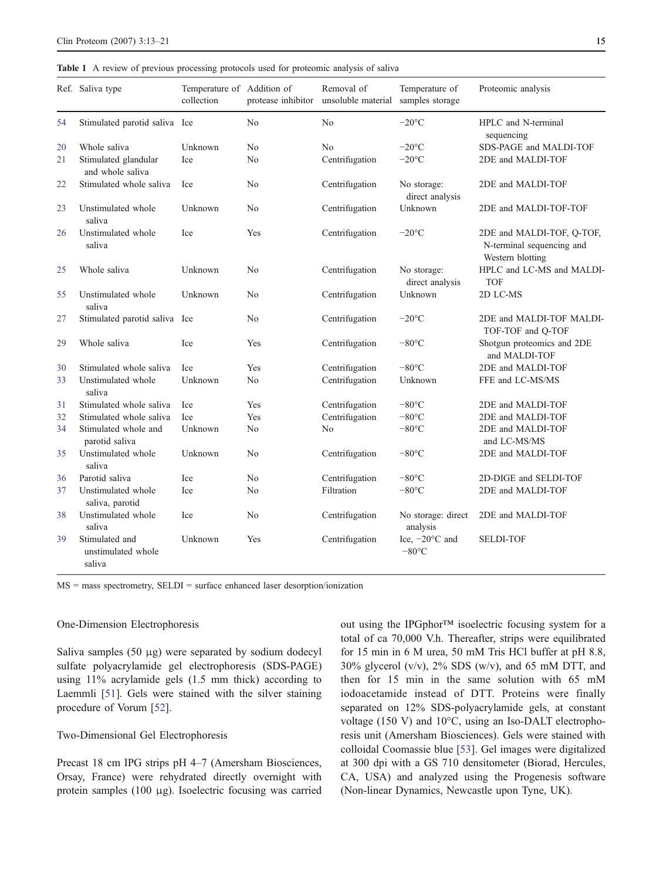Table 1 A review of previous processing protocols used for proteomic analysis of saliva

|    | Ref. Saliva type                               | Temperature of Addition of<br>collection |                | Removal of<br>protease inhibitor unsoluble material | Temperature of<br>samples storage           | Proteomic analysis                                                         |  |
|----|------------------------------------------------|------------------------------------------|----------------|-----------------------------------------------------|---------------------------------------------|----------------------------------------------------------------------------|--|
| 54 | Stimulated parotid saliva Ice                  |                                          | N <sub>0</sub> | No                                                  | $-20^{\circ}$ C                             | HPLC and N-terminal<br>sequencing                                          |  |
| 20 | Whole saliva                                   | Unknown                                  | N <sub>0</sub> | No                                                  | $-20^{\circ}$ C                             | SDS-PAGE and MALDI-TOF                                                     |  |
| 21 | Stimulated glandular<br>and whole saliva       | Ice                                      | N <sub>0</sub> | Centrifugation                                      | $-20^{\circ}$ C                             | 2DE and MALDI-TOF                                                          |  |
| 22 | Stimulated whole saliva                        | <b>Ice</b>                               | No             | Centrifugation                                      | No storage:<br>direct analysis              | 2DE and MALDI-TOF                                                          |  |
| 23 | Unstimulated whole<br>saliva                   | Unknown                                  | N <sub>0</sub> | Centrifugation                                      | Unknown                                     | 2DE and MALDI-TOF-TOF                                                      |  |
| 26 | Unstimulated whole<br>saliva                   | Ice                                      | Yes            | Centrifugation                                      | $-20^{\circ}$ C                             | 2DE and MALDI-TOF, Q-TOF,<br>N-terminal sequencing and<br>Western blotting |  |
| 25 | Whole saliva                                   | Unknown                                  | N <sub>0</sub> | Centrifugation                                      | No storage:<br>direct analysis              | HPLC and LC-MS and MALDI-<br><b>TOF</b>                                    |  |
| 55 | Unstimulated whole<br>saliva                   | Unknown                                  | N <sub>0</sub> | Centrifugation                                      | Unknown                                     | 2D LC-MS                                                                   |  |
| 27 | Stimulated parotid saliva Ice                  |                                          | No             | Centrifugation                                      | $-20$ °C                                    | 2DE and MALDI-TOF MALDI-<br>TOF-TOF and Q-TOF                              |  |
| 29 | Whole saliva                                   | Ice                                      | Yes            | Centrifugation                                      | $-80^{\circ}$ C                             | Shotgun proteomics and 2DE<br>and MALDI-TOF                                |  |
| 30 | Stimulated whole saliva                        | <b>Ice</b>                               | Yes            | Centrifugation                                      | $-80^{\circ}$ C                             | 2DE and MALDI-TOF                                                          |  |
| 33 | Unstimulated whole<br>saliva                   | Unknown                                  | No             | Centrifugation                                      | Unknown                                     | FFE and LC-MS/MS                                                           |  |
| 31 | Stimulated whole saliva                        | <b>Ice</b>                               | Yes            | Centrifugation                                      | $-80^{\circ}$ C                             | 2DE and MALDI-TOF                                                          |  |
| 32 | Stimulated whole saliva                        | <b>Ice</b>                               | Yes            | Centrifugation                                      | $-80^{\circ}$ C                             | 2DE and MALDI-TOF                                                          |  |
| 34 | Stimulated whole and<br>parotid saliva         | Unknown                                  | N <sub>0</sub> | No                                                  | $-80^{\circ}$ C                             | 2DE and MALDI-TOF<br>and LC-MS/MS                                          |  |
| 35 | Unstimulated whole<br>saliva                   | Unknown                                  | N <sub>0</sub> | Centrifugation                                      | $-80^{\circ}$ C                             | 2DE and MALDI-TOF                                                          |  |
| 36 | Parotid saliva                                 | <b>Ice</b>                               | N <sub>0</sub> | Centrifugation                                      | $-80^{\circ}$ C                             | 2D-DIGE and SELDI-TOF                                                      |  |
| 37 | Unstimulated whole<br>saliva, parotid          | Ice                                      | No             | Filtration                                          | $-80^{\circ}$ C                             | 2DE and MALDI-TOF                                                          |  |
| 38 | Unstimulated whole<br>saliva                   | Ice                                      | No             | Centrifugation                                      | No storage: direct<br>analysis              | 2DE and MALDI-TOF                                                          |  |
| 39 | Stimulated and<br>unstimulated whole<br>saliva | Unknown                                  | Yes            | Centrifugation                                      | Ice, $-20^{\circ}$ C and<br>$-80^{\circ}$ C | <b>SELDI-TOF</b>                                                           |  |

MS = mass spectrometry, SELDI = surface enhanced laser desorption/ionization

#### One-Dimension Electrophoresis

Saliva samples (50 μg) were separated by sodium dodecyl sulfate polyacrylamide gel electrophoresis (SDS-PAGE) using 11% acrylamide gels (1.5 mm thick) according to Laemmli [51]. Gels were stained with the silver staining procedure of Vorum [52].

#### Two-Dimensional Gel Electrophoresis

Precast 18 cm IPG strips pH 4–7 (Amersham Biosciences, Orsay, France) were rehydrated directly overnight with protein samples (100 μg). Isoelectric focusing was carried out using the IPGphor*™* isoelectric focusing system for a total of ca 70,000 V.h. Thereafter, strips were equilibrated for 15 min in 6 M urea, 50 mM Tris HCl buffer at pH 8.8, 30% glycerol (v/v), 2% SDS (w/v), and 65 mM DTT, and then for 15 min in the same solution with 65 mM iodoacetamide instead of DTT. Proteins were finally separated on 12% SDS-polyacrylamide gels, at constant voltage (150 V) and 10°C, using an Iso-DALT electrophoresis unit (Amersham Biosciences). Gels were stained with colloidal Coomassie blue [53]. Gel images were digitalized at 300 dpi with a GS 710 densitometer (Biorad, Hercules, CA, USA) and analyzed using the Progenesis software (Non-linear Dynamics, Newcastle upon Tyne, UK).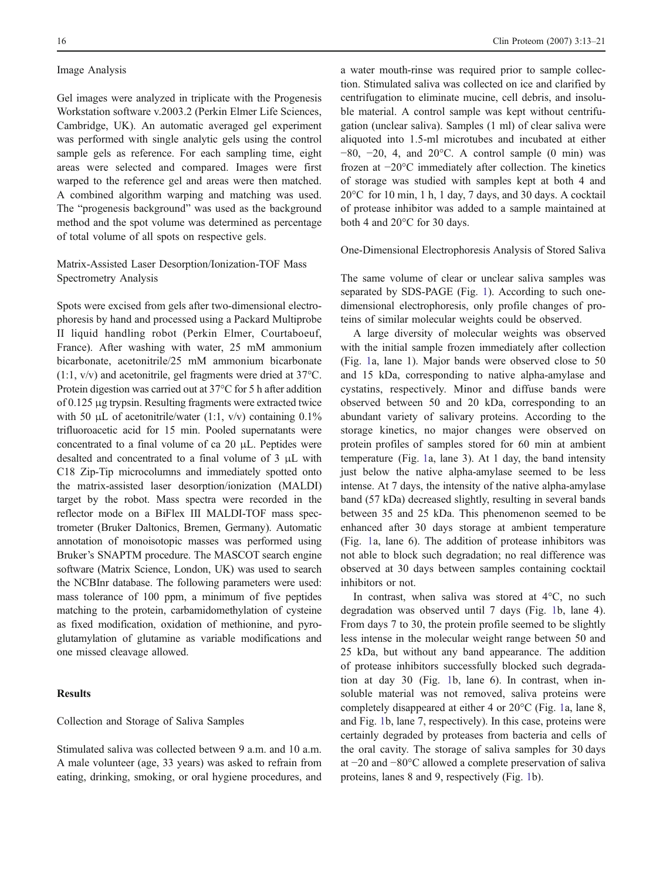#### Image Analysis

Gel images were analyzed in triplicate with the Progenesis Workstation software v.2003.2 (Perkin Elmer Life Sciences, Cambridge, UK). An automatic averaged gel experiment was performed with single analytic gels using the control sample gels as reference. For each sampling time, eight areas were selected and compared. Images were first warped to the reference gel and areas were then matched. A combined algorithm warping and matching was used. The "progenesis background" was used as the background method and the spot volume was determined as percentage of total volume of all spots on respective gels.

#### Matrix-Assisted Laser Desorption/Ionization-TOF Mass Spectrometry Analysis

Spots were excised from gels after two-dimensional electrophoresis by hand and processed using a Packard Multiprobe II liquid handling robot (Perkin Elmer, Courtaboeuf, France). After washing with water, 25 mM ammonium bicarbonate, acetonitrile/25 mM ammonium bicarbonate (1:1, v/v) and acetonitrile, gel fragments were dried at 37°C. Protein digestion was carried out at 37°C for 5 h after addition of 0.125 μg trypsin. Resulting fragments were extracted twice with 50  $\mu$ L of acetonitrile/water (1:1, v/v) containing 0.1% trifluoroacetic acid for 15 min. Pooled supernatants were concentrated to a final volume of ca 20 μL. Peptides were desalted and concentrated to a final volume of 3 μL with C18 Zip-Tip microcolumns and immediately spotted onto the matrix-assisted laser desorption/ionization (MALDI) target by the robot. Mass spectra were recorded in the reflector mode on a BiFlex III MALDI-TOF mass spectrometer (Bruker Daltonics, Bremen, Germany). Automatic annotation of monoisotopic masses was performed using Bruker's SNAPTM procedure. The MASCOT search engine software (Matrix Science, London, UK) was used to search the NCBInr database. The following parameters were used: mass tolerance of 100 ppm, a minimum of five peptides matching to the protein, carbamidomethylation of cysteine as fixed modification, oxidation of methionine, and pyroglutamylation of glutamine as variable modifications and one missed cleavage allowed.

#### Results

#### Collection and Storage of Saliva Samples

Stimulated saliva was collected between 9 a.m. and 10 a.m. A male volunteer (age, 33 years) was asked to refrain from eating, drinking, smoking, or oral hygiene procedures, and a water mouth-rinse was required prior to sample collection. Stimulated saliva was collected on ice and clarified by centrifugation to eliminate mucine, cell debris, and insoluble material. A control sample was kept without centrifugation (unclear saliva). Samples (1 ml) of clear saliva were aliquoted into 1.5-ml microtubes and incubated at either  $-80$ ,  $-20$ , 4, and  $20^{\circ}$ C. A control sample (0 min) was frozen at −20°C immediately after collection. The kinetics of storage was studied with samples kept at both 4 and 20°C for 10 min, 1 h, 1 day, 7 days, and 30 days. A cocktail of protease inhibitor was added to a sample maintained at both 4 and 20°C for 30 days.

#### One-Dimensional Electrophoresis Analysis of Stored Saliva

The same volume of clear or unclear saliva samples was separated by SDS-PAGE (Fig. 1). According to such onedimensional electrophoresis, only profile changes of proteins of similar molecular weights could be observed.

A large diversity of molecular weights was observed with the initial sample frozen immediately after collection (Fig. 1a, lane 1). Major bands were observed close to 50 and 15 kDa, corresponding to native alpha-amylase and cystatins, respectively. Minor and diffuse bands were observed between 50 and 20 kDa, corresponding to an abundant variety of salivary proteins. According to the storage kinetics, no major changes were observed on protein profiles of samples stored for 60 min at ambient temperature (Fig. 1a, lane 3). At 1 day, the band intensity just below the native alpha-amylase seemed to be less intense. At 7 days, the intensity of the native alpha-amylase band (57 kDa) decreased slightly, resulting in several bands between 35 and 25 kDa. This phenomenon seemed to be enhanced after 30 days storage at ambient temperature (Fig. 1a, lane 6). The addition of protease inhibitors was not able to block such degradation; no real difference was observed at 30 days between samples containing cocktail inhibitors or not.

In contrast, when saliva was stored at 4°C, no such degradation was observed until 7 days (Fig. 1b, lane 4). From days 7 to 30, the protein profile seemed to be slightly less intense in the molecular weight range between 50 and 25 kDa, but without any band appearance. The addition of protease inhibitors successfully blocked such degradation at day 30 (Fig. 1b, lane 6). In contrast, when insoluble material was not removed, saliva proteins were completely disappeared at either 4 or 20°C (Fig. 1a, lane 8, and Fig. 1b, lane 7, respectively). In this case, proteins were certainly degraded by proteases from bacteria and cells of the oral cavity. The storage of saliva samples for 30 days at −20 and −80°C allowed a complete preservation of saliva proteins, lanes 8 and 9, respectively (Fig. 1b).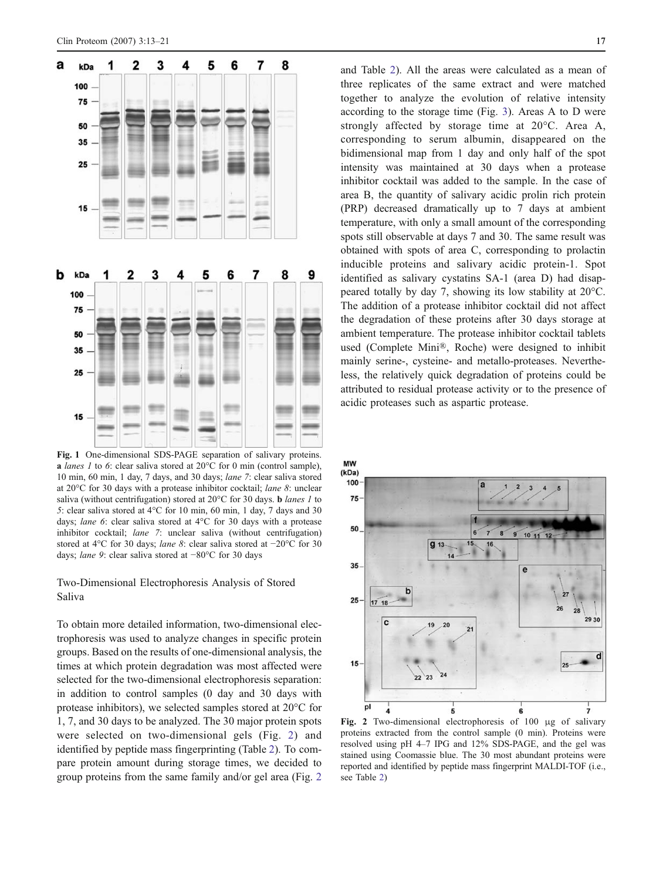

Fig. 1 One-dimensional SDS-PAGE separation of salivary proteins. **a** lanes 1 to 6: clear saliva stored at  $20^{\circ}$ C for 0 min (control sample), 10 min, 60 min, 1 day, 7 days, and 30 days; lane 7: clear saliva stored at 20°C for 30 days with a protease inhibitor cocktail; lane 8: unclear saliva (without centrifugation) stored at  $20^{\circ}$ C for 30 days. **b** lanes 1 to 5: clear saliva stored at 4°C for 10 min, 60 min, 1 day, 7 days and 30 days; lane 6: clear saliva stored at 4°C for 30 days with a protease inhibitor cocktail; lane 7: unclear saliva (without centrifugation) stored at 4°C for 30 days; lane 8: clear saliva stored at −20°C for 30 days; lane 9: clear saliva stored at −80°C for 30 days

Two-Dimensional Electrophoresis Analysis of Stored Saliva

To obtain more detailed information, two-dimensional electrophoresis was used to analyze changes in specific protein groups. Based on the results of one-dimensional analysis, the times at which protein degradation was most affected were selected for the two-dimensional electrophoresis separation: in addition to control samples (0 day and 30 days with protease inhibitors), we selected samples stored at 20°C for 1, 7, and 30 days to be analyzed. The 30 major protein spots were selected on two-dimensional gels (Fig. 2) and identified by peptide mass fingerprinting (Table 2). To compare protein amount during storage times, we decided to group proteins from the same family and/or gel area (Fig. 2

and Table 2). All the areas were calculated as a mean of three replicates of the same extract and were matched together to analyze the evolution of relative intensity according to the storage time (Fig. 3). Areas A to D were strongly affected by storage time at 20°C. Area A, corresponding to serum albumin, disappeared on the bidimensional map from 1 day and only half of the spot intensity was maintained at 30 days when a protease inhibitor cocktail was added to the sample. In the case of area B, the quantity of salivary acidic prolin rich protein (PRP) decreased dramatically up to 7 days at ambient temperature, with only a small amount of the corresponding spots still observable at days 7 and 30. The same result was obtained with spots of area C, corresponding to prolactin inducible proteins and salivary acidic protein-1. Spot identified as salivary cystatins SA-1 (area D) had disappeared totally by day 7, showing its low stability at 20°C. The addition of a protease inhibitor cocktail did not affect the degradation of these proteins after 30 days storage at ambient temperature. The protease inhibitor cocktail tablets used (Complete Mini®, Roche) were designed to inhibit mainly serine-, cysteine- and metallo-proteases. Nevertheless, the relatively quick degradation of proteins could be attributed to residual protease activity or to the presence of acidic proteases such as aspartic protease.



Fig. 2 Two-dimensional electrophoresis of 100 μg of salivary proteins extracted from the control sample (0 min). Proteins were resolved using pH 4–7 IPG and 12% SDS-PAGE, and the gel was stained using Coomassie blue. The 30 most abundant proteins were reported and identified by peptide mass fingerprint MALDI-TOF (i.e., see Table 2)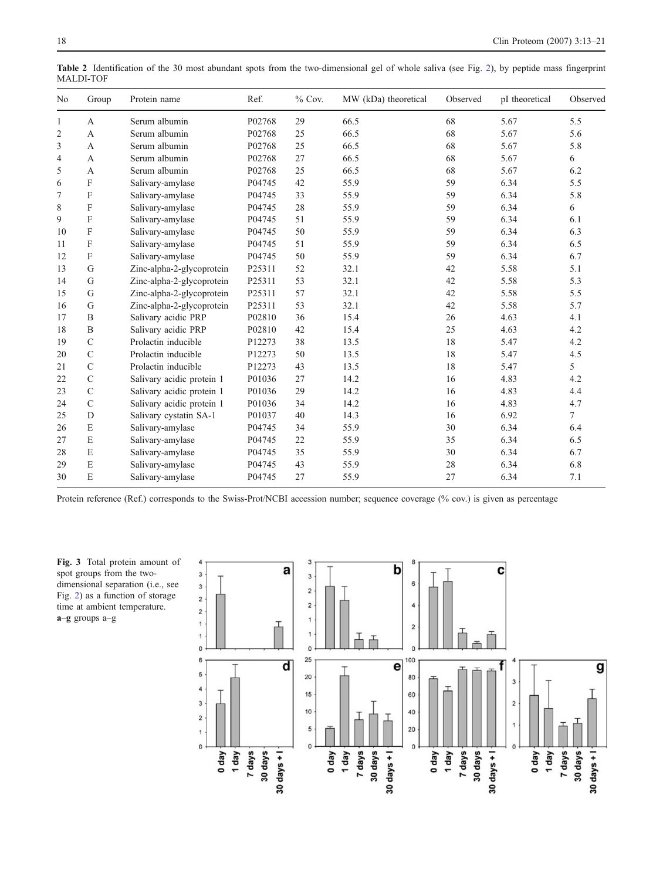| No             | Group          | Protein name              | Ref.   | $%$ Cov. | MW (kDa) theoretical | Observed | pI theoretical | Observed |
|----------------|----------------|---------------------------|--------|----------|----------------------|----------|----------------|----------|
| 1              | $\overline{A}$ | Serum albumin             | P02768 | 29       | 66.5                 | 68       | 5.67           | 5.5      |
| $\overline{2}$ | $\mathsf{A}$   | Serum albumin             | P02768 | 25       | 66.5                 | 68       | 5.67           | 5.6      |
| 3              | A              | Serum albumin             | P02768 | 25       | 66.5                 | 68       | 5.67           | 5.8      |
| $\overline{4}$ | A              | Serum albumin             | P02768 | 27       | 66.5                 | 68       | 5.67           | 6        |
| 5              | A              | Serum albumin             | P02768 | 25       | 66.5                 | 68       | 5.67           | 6.2      |
| 6              | F              | Salivary-amylase          | P04745 | 42       | 55.9                 | 59       | 6.34           | 5.5      |
| 7              | F              | Salivary-amylase          | P04745 | 33       | 55.9                 | 59       | 6.34           | 5.8      |
| 8              | F              | Salivary-amylase          | P04745 | 28       | 55.9                 | 59       | 6.34           | 6        |
| 9              | $\mathbf{F}$   | Salivary-amylase          | P04745 | 51       | 55.9                 | 59       | 6.34           | 6.1      |
| 10             | F              | Salivary-amylase          | P04745 | 50       | 55.9                 | 59       | 6.34           | 6.3      |
| 11             | F              | Salivary-amylase          | P04745 | 51       | 55.9                 | 59       | 6.34           | 6.5      |
| 12             | F              | Salivary-amylase          | P04745 | 50       | 55.9                 | 59       | 6.34           | 6.7      |
| 13             | G              | Zinc-alpha-2-glycoprotein | P25311 | 52       | 32.1                 | 42       | 5.58           | 5.1      |
| 14             | G              | Zinc-alpha-2-glycoprotein | P25311 | 53       | 32.1                 | 42       | 5.58           | 5.3      |
| 15             | G              | Zinc-alpha-2-glycoprotein | P25311 | 57       | 32.1                 | 42       | 5.58           | 5.5      |
| 16             | G              | Zinc-alpha-2-glycoprotein | P25311 | 53       | 32.1                 | 42       | 5.58           | 5.7      |
| 17             | B              | Salivary acidic PRP       | P02810 | 36       | 15.4                 | 26       | 4.63           | 4.1      |
| 18             | B              | Salivary acidic PRP       | P02810 | 42       | 15.4                 | 25       | 4.63           | 4.2      |
| 19             | $\mathcal{C}$  | Prolactin inducible       | P12273 | 38       | 13.5                 | 18       | 5.47           | 4.2      |
| 20             | $\mathbf C$    | Prolactin inducible       | P12273 | 50       | 13.5                 | 18       | 5.47           | 4.5      |
| 21             | $\mathbf C$    | Prolactin inducible       | P12273 | 43       | 13.5                 | 18       | 5.47           | 5        |
| 22             | $\mathbf C$    | Salivary acidic protein 1 | P01036 | 27       | 14.2                 | 16       | 4.83           | 4.2      |
| 23             | $\mathcal{C}$  | Salivary acidic protein 1 | P01036 | 29       | 14.2                 | 16       | 4.83           | 4.4      |
| 24             | $\mathcal{C}$  | Salivary acidic protein 1 | P01036 | 34       | 14.2                 | 16       | 4.83           | 4.7      |
| 25             | D              | Salivary cystatin SA-1    | P01037 | 40       | 14.3                 | 16       | 6.92           | 7        |
| 26             | E              | Salivary-amylase          | P04745 | 34       | 55.9                 | 30       | 6.34           | 6.4      |
| 27             | E              | Salivary-amylase          | P04745 | 22       | 55.9                 | 35       | 6.34           | 6.5      |
| 28             | E              | Salivary-amylase          | P04745 | 35       | 55.9                 | 30       | 6.34           | 6.7      |
| 29             | E              | Salivary-amylase          | P04745 | 43       | 55.9                 | 28       | 6.34           | 6.8      |
| 30             | E              | Salivary-amylase          | P04745 | 27       | 55.9                 | 27       | 6.34           | 7.1      |

Table 2 Identification of the 30 most abundant spots from the two-dimensional gel of whole saliva (see Fig. 2), by peptide mass fingerprint MALDI-TOF

Protein reference (Ref.) corresponds to the Swiss-Prot/NCBI accession number; sequence coverage (% cov.) is given as percentage

Fig. 3 Total protein amount of spot groups from the twodimensional separation (i.e., see Fig. 2) as a function of storage time at ambient temperature. a–g groups a–g

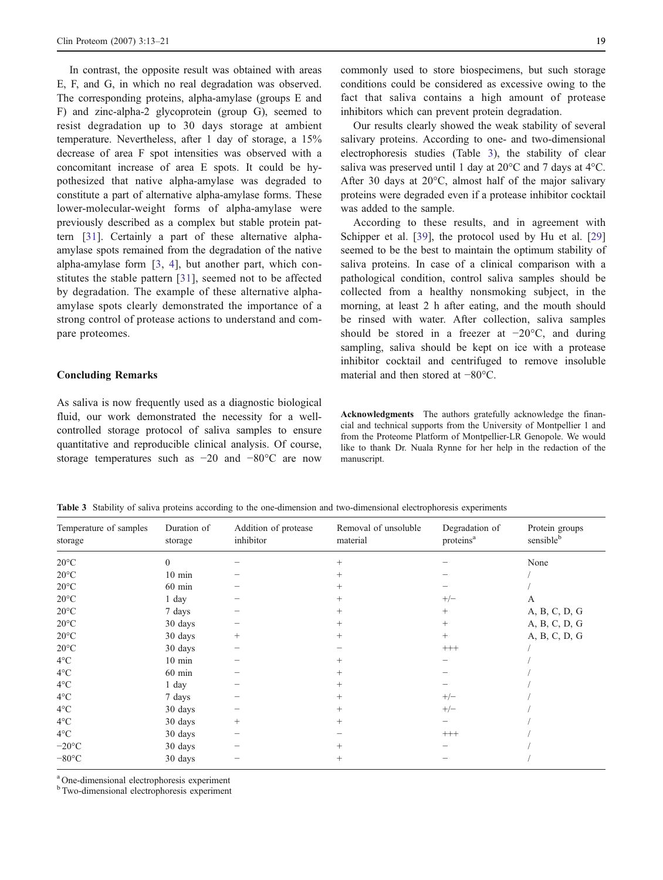In contrast, the opposite result was obtained with areas E, F, and G, in which no real degradation was observed. The corresponding proteins, alpha-amylase (groups E and F) and zinc-alpha-2 glycoprotein (group G), seemed to resist degradation up to 30 days storage at ambient temperature. Nevertheless, after 1 day of storage, a 15% decrease of area F spot intensities was observed with a concomitant increase of area E spots. It could be hypothesized that native alpha-amylase was degraded to constitute a part of alternative alpha-amylase forms. These lower-molecular-weight forms of alpha-amylase were previously described as a complex but stable protein pattern [31]. Certainly a part of these alternative alphaamylase spots remained from the degradation of the native alpha-amylase form [3, 4], but another part, which constitutes the stable pattern [31], seemed not to be affected by degradation. The example of these alternative alphaamylase spots clearly demonstrated the importance of a strong control of protease actions to understand and compare proteomes.

#### Concluding Remarks

As saliva is now frequently used as a diagnostic biological fluid, our work demonstrated the necessity for a wellcontrolled storage protocol of saliva samples to ensure quantitative and reproducible clinical analysis. Of course, storage temperatures such as −20 and −80°C are now

commonly used to store biospecimens, but such storage conditions could be considered as excessive owing to the fact that saliva contains a high amount of protease inhibitors which can prevent protein degradation.

Our results clearly showed the weak stability of several salivary proteins. According to one- and two-dimensional electrophoresis studies (Table 3), the stability of clear saliva was preserved until 1 day at 20°C and 7 days at 4°C. After 30 days at 20°C, almost half of the major salivary proteins were degraded even if a protease inhibitor cocktail was added to the sample.

According to these results, and in agreement with Schipper et al. [39], the protocol used by Hu et al. [29] seemed to be the best to maintain the optimum stability of saliva proteins. In case of a clinical comparison with a pathological condition, control saliva samples should be collected from a healthy nonsmoking subject, in the morning, at least 2 h after eating, and the mouth should be rinsed with water. After collection, saliva samples should be stored in a freezer at −20°C, and during sampling, saliva should be kept on ice with a protease inhibitor cocktail and centrifuged to remove insoluble material and then stored at −80°C.

Acknowledgments The authors gratefully acknowledge the financial and technical supports from the University of Montpellier 1 and from the Proteome Platform of Montpellier-LR Genopole. We would like to thank Dr. Nuala Rynne for her help in the redaction of the manuscript.

Table 3 Stability of saliva proteins according to the one-dimension and two-dimensional electrophoresis experiments

| Temperature of samples<br>storage | Duration of<br>storage | Addition of protease<br>inhibitor | Removal of unsoluble<br>material | Degradation of<br>proteins <sup>a</sup> | Protein groups<br>sensibleb |
|-----------------------------------|------------------------|-----------------------------------|----------------------------------|-----------------------------------------|-----------------------------|
| $20^{\circ}$ C                    | $\theta$               |                                   | $^{+}$                           |                                         | None                        |
| $20^{\circ}$ C                    | $10 \text{ min}$       |                                   | $^{+}$                           |                                         |                             |
| $20^{\circ}$ C                    | $60$ min               |                                   | $^{+}$                           |                                         |                             |
| $20^{\circ}$ C                    | $1$ day                |                                   | $^{+}$                           | $+/-$                                   | A                           |
| $20^{\circ}$ C                    | 7 days                 |                                   | $^{+}$                           | $^{+}$                                  | A, B, C, D, G               |
| $20^{\circ}$ C                    | 30 days                |                                   | $^{+}$                           | $^{+}$                                  | A, B, C, D, G               |
| $20^{\circ}$ C                    | 30 days                | $^{+}$                            | $^{+}$                           | $+$                                     | A, B, C, D, G               |
| $20^{\circ}$ C                    | 30 days                |                                   |                                  | $^{+++}$                                |                             |
| $4^{\circ}$ C                     | $10 \text{ min}$       |                                   | $^{+}$                           |                                         |                             |
| $4^{\circ}$ C                     | $60$ min               |                                   | $^{+}$                           |                                         |                             |
| $4^{\circ}$ C                     | 1 day                  |                                   | $^{+}$                           |                                         |                             |
| $4^{\circ}$ C                     | 7 days                 |                                   | $^{+}$                           | $+/-$                                   |                             |
| $4^{\circ}$ C                     | 30 days                |                                   | $^{+}$                           | $+/-$                                   |                             |
| $4^{\circ}$ C                     | 30 days                | $^{+}$                            | $^{+}$                           |                                         |                             |
| $4^{\circ}$ C                     | 30 days                |                                   |                                  | $^{+++}$                                |                             |
| $-20$ °C                          | 30 days                |                                   | $^{+}$                           |                                         |                             |
| $-80^{\circ}$ C                   | 30 days                |                                   | $^{+}$                           |                                         |                             |

<sup>a</sup> One-dimensional electrophoresis experiment

<sup>b</sup> Two-dimensional electrophoresis experiment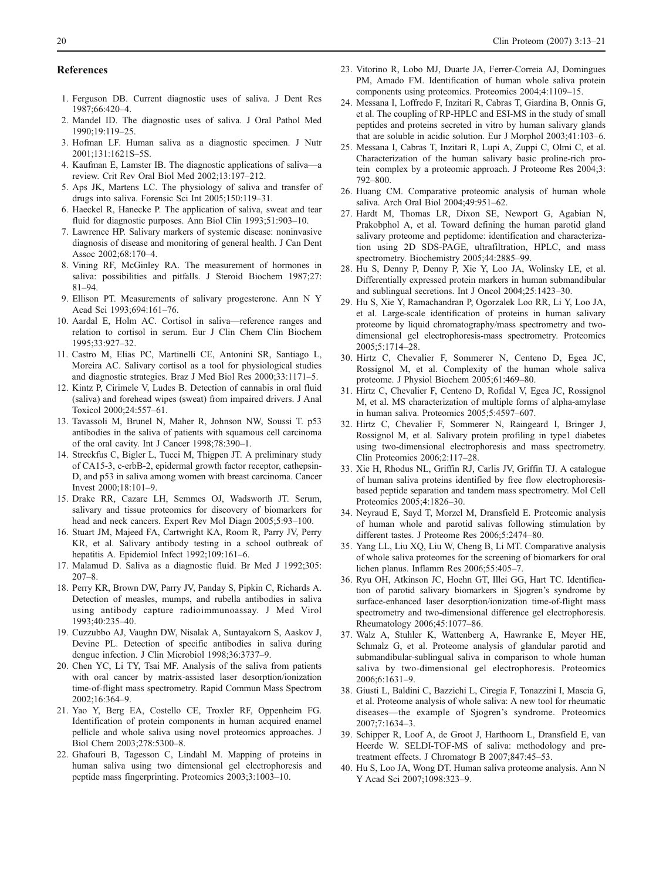#### References

- 1. Ferguson DB. Current diagnostic uses of saliva. J Dent Res 1987;66:420–4.
- 2. Mandel ID. The diagnostic uses of saliva. J Oral Pathol Med 1990;19:119–25.
- 3. Hofman LF. Human saliva as a diagnostic specimen. J Nutr 2001;131:1621S–5S.
- 4. Kaufman E, Lamster IB. The diagnostic applications of saliva—a review. Crit Rev Oral Biol Med 2002;13:197–212.
- 5. Aps JK, Martens LC. The physiology of saliva and transfer of drugs into saliva. Forensic Sci Int 2005;150:119–31.
- 6. Haeckel R, Hanecke P. The application of saliva, sweat and tear fluid for diagnostic purposes. Ann Biol Clin 1993;51:903–10.
- 7. Lawrence HP. Salivary markers of systemic disease: noninvasive diagnosis of disease and monitoring of general health. J Can Dent Assoc 2002;68:170–4.
- 8. Vining RF, McGinley RA. The measurement of hormones in saliva: possibilities and pitfalls. J Steroid Biochem 1987;27: 81–94.
- 9. Ellison PT. Measurements of salivary progesterone. Ann N Y Acad Sci 1993;694:161–76.
- 10. Aardal E, Holm AC. Cortisol in saliva—reference ranges and relation to cortisol in serum. Eur J Clin Chem Clin Biochem 1995;33:927–32.
- 11. Castro M, Elias PC, Martinelli CE, Antonini SR, Santiago L, Moreira AC. Salivary cortisol as a tool for physiological studies and diagnostic strategies. Braz J Med Biol Res 2000;33:1171–5.
- 12. Kintz P, Cirimele V, Ludes B. Detection of cannabis in oral fluid (saliva) and forehead wipes (sweat) from impaired drivers. J Anal Toxicol 2000;24:557–61.
- 13. Tavassoli M, Brunel N, Maher R, Johnson NW, Soussi T. p53 antibodies in the saliva of patients with squamous cell carcinoma of the oral cavity. Int J Cancer 1998;78:390–1.
- 14. Streckfus C, Bigler L, Tucci M, Thigpen JT. A preliminary study of CA15-3, c-erbB-2, epidermal growth factor receptor, cathepsin-D, and p53 in saliva among women with breast carcinoma. Cancer Invest 2000;18:101–9.
- 15. Drake RR, Cazare LH, Semmes OJ, Wadsworth JT. Serum, salivary and tissue proteomics for discovery of biomarkers for head and neck cancers. Expert Rev Mol Diagn 2005;5:93–100.
- 16. Stuart JM, Majeed FA, Cartwright KA, Room R, Parry JV, Perry KR, et al. Salivary antibody testing in a school outbreak of hepatitis A. Epidemiol Infect 1992;109:161-6.
- 17. Malamud D. Saliva as a diagnostic fluid. Br Med J 1992;305: 207–8.
- 18. Perry KR, Brown DW, Parry JV, Panday S, Pipkin C, Richards A. Detection of measles, mumps, and rubella antibodies in saliva using antibody capture radioimmunoassay. J Med Virol 1993;40:235–40.
- 19. Cuzzubbo AJ, Vaughn DW, Nisalak A, Suntayakorn S, Aaskov J, Devine PL. Detection of specific antibodies in saliva during dengue infection. J Clin Microbiol 1998;36:3737–9.
- 20. Chen YC, Li TY, Tsai MF. Analysis of the saliva from patients with oral cancer by matrix-assisted laser desorption/ionization time-of-flight mass spectrometry. Rapid Commun Mass Spectrom 2002;16:364–9.
- 21. Yao Y, Berg EA, Costello CE, Troxler RF, Oppenheim FG. Identification of protein components in human acquired enamel pellicle and whole saliva using novel proteomics approaches. J Biol Chem 2003;278:5300–8.
- 22. Ghafouri B, Tagesson C, Lindahl M. Mapping of proteins in human saliva using two dimensional gel electrophoresis and peptide mass fingerprinting. Proteomics 2003;3:1003–10.
- 23. Vitorino R, Lobo MJ, Duarte JA, Ferrer-Correia AJ, Domingues PM, Amado FM. Identification of human whole saliva protein components using proteomics. Proteomics 2004;4:1109–15.
- 24. Messana I, Loffredo F, Inzitari R, Cabras T, Giardina B, Onnis G, et al. The coupling of RP-HPLC and ESI-MS in the study of small peptides and proteins secreted in vitro by human salivary glands that are soluble in acidic solution. Eur J Morphol 2003;41:103–6.
- 25. Messana I, Cabras T, Inzitari R, Lupi A, Zuppi C, Olmi C, et al. Characterization of the human salivary basic proline-rich protein complex by a proteomic approach. J Proteome Res 2004;3: 792–800.
- 26. Huang CM. Comparative proteomic analysis of human whole saliva. Arch Oral Biol 2004;49:951–62.
- 27. Hardt M, Thomas LR, Dixon SE, Newport G, Agabian N, Prakobphol A, et al. Toward defining the human parotid gland salivary proteome and peptidome: identification and characterization using 2D SDS-PAGE, ultrafiltration, HPLC, and mass spectrometry. Biochemistry 2005;44:2885–99.
- 28. Hu S, Denny P, Denny P, Xie Y, Loo JA, Wolinsky LE, et al. Differentially expressed protein markers in human submandibular and sublingual secretions. Int J Oncol 2004;25:1423–30.
- 29. Hu S, Xie Y, Ramachandran P, Ogorzalek Loo RR, Li Y, Loo JA, et al. Large-scale identification of proteins in human salivary proteome by liquid chromatography/mass spectrometry and twodimensional gel electrophoresis-mass spectrometry. Proteomics 2005;5:1714–28.
- 30. Hirtz C, Chevalier F, Sommerer N, Centeno D, Egea JC, Rossignol M, et al. Complexity of the human whole saliva proteome. J Physiol Biochem 2005;61:469–80.
- 31. Hirtz C, Chevalier F, Centeno D, Rofidal V, Egea JC, Rossignol M, et al. MS characterization of multiple forms of alpha-amylase in human saliva. Proteomics 2005;5:4597–607.
- 32. Hirtz C, Chevalier F, Sommerer N, Raingeard I, Bringer J, Rossignol M, et al. Salivary protein profiling in type1 diabetes using two-dimensional electrophoresis and mass spectrometry. Clin Proteomics 2006;2:117–28.
- 33. Xie H, Rhodus NL, Griffin RJ, Carlis JV, Griffin TJ. A catalogue of human saliva proteins identified by free flow electrophoresisbased peptide separation and tandem mass spectrometry. Mol Cell Proteomics 2005;4:1826–30.
- 34. Neyraud E, Sayd T, Morzel M, Dransfield E. Proteomic analysis of human whole and parotid salivas following stimulation by different tastes. J Proteome Res 2006;5:2474–80.
- 35. Yang LL, Liu XQ, Liu W, Cheng B, Li MT. Comparative analysis of whole saliva proteomes for the screening of biomarkers for oral lichen planus. Inflamm Res 2006;55:405–7.
- 36. Ryu OH, Atkinson JC, Hoehn GT, Illei GG, Hart TC. Identification of parotid salivary biomarkers in Sjogren's syndrome by surface-enhanced laser desorption/ionization time-of-flight mass spectrometry and two-dimensional difference gel electrophoresis. Rheumatology 2006;45:1077–86.
- 37. Walz A, Stuhler K, Wattenberg A, Hawranke E, Meyer HE, Schmalz G, et al. Proteome analysis of glandular parotid and submandibular-sublingual saliva in comparison to whole human saliva by two-dimensional gel electrophoresis. Proteomics 2006;6:1631–9.
- 38. Giusti L, Baldini C, Bazzichi L, Ciregia F, Tonazzini I, Mascia G, et al. Proteome analysis of whole saliva: A new tool for rheumatic diseases—the example of Sjogren's syndrome. Proteomics 2007;7:1634–3.
- 39. Schipper R, Loof A, de Groot J, Harthoorn L, Dransfield E, van Heerde W. SELDI-TOF-MS of saliva: methodology and pretreatment effects. J Chromatogr B 2007;847:45–53.
- 40. Hu S, Loo JA, Wong DT. Human saliva proteome analysis. Ann N Y Acad Sci 2007;1098:323–9.